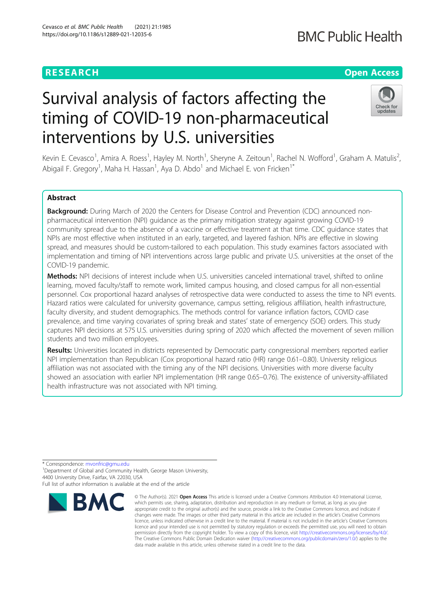## Cevasco et al. BMC Public Health (2021) 21:1985 https://doi.org/10.1186/s12889-021-12035-6

# **RESEARCH CHE Open Access**

# **BMC Public Health**

# Survival analysis of factors affecting the timing of COVID-19 non-pharmaceutical interventions by U.S. universities



Kevin E. Cevasco<sup>1</sup>, Amira A. Roess<sup>1</sup>, Hayley M. North<sup>1</sup>, Sheryne A. Zeitoun<sup>1</sup>, Rachel N. Wofford<sup>1</sup>, Graham A. Matulis<sup>2</sup> , Abigail F. Gregory<sup>1</sup>, Maha H. Hassan<sup>1</sup>, Aya D. Abdo<sup>1</sup> and Michael E. von Fricken<sup>1\*</sup>

# Abstract

Background: During March of 2020 the Centers for Disease Control and Prevention (CDC) announced nonpharmaceutical intervention (NPI) guidance as the primary mitigation strategy against growing COVID-19 community spread due to the absence of a vaccine or effective treatment at that time. CDC guidance states that NPIs are most effective when instituted in an early, targeted, and layered fashion. NPIs are effective in slowing spread, and measures should be custom-tailored to each population. This study examines factors associated with implementation and timing of NPI interventions across large public and private U.S. universities at the onset of the COVID-19 pandemic.

Methods: NPI decisions of interest include when U.S. universities canceled international travel, shifted to online learning, moved faculty/staff to remote work, limited campus housing, and closed campus for all non-essential personnel. Cox proportional hazard analyses of retrospective data were conducted to assess the time to NPI events. Hazard ratios were calculated for university governance, campus setting, religious affiliation, health infrastructure, faculty diversity, and student demographics. The methods control for variance inflation factors, COVID case prevalence, and time varying covariates of spring break and states' state of emergency (SOE) orders. This study captures NPI decisions at 575 U.S. universities during spring of 2020 which affected the movement of seven million students and two million employees.

Results: Universities located in districts represented by Democratic party congressional members reported earlier NPI implementation than Republican (Cox proportional hazard ratio (HR) range 0.61–0.80). University religious affiliation was not associated with the timing any of the NPI decisions. Universities with more diverse faculty showed an association with earlier NPI implementation (HR range 0.65–0.76). The existence of university-affiliated health infrastructure was not associated with NPI timing.

\* Correspondence: [mvonfric@gmu.edu](mailto:mvonfric@gmu.edu) <sup>1</sup>

<sup>1</sup> Department of Global and Community Health, George Mason University, 4400 University Drive, Fairfax, VA 22030, USA

Full list of author information is available at the end of the article



<sup>©</sup> The Author(s), 2021 **Open Access** This article is licensed under a Creative Commons Attribution 4.0 International License, which permits use, sharing, adaptation, distribution and reproduction in any medium or format, as long as you give appropriate credit to the original author(s) and the source, provide a link to the Creative Commons licence, and indicate if changes were made. The images or other third party material in this article are included in the article's Creative Commons licence, unless indicated otherwise in a credit line to the material. If material is not included in the article's Creative Commons licence and your intended use is not permitted by statutory regulation or exceeds the permitted use, you will need to obtain permission directly from the copyright holder. To view a copy of this licence, visit [http://creativecommons.org/licenses/by/4.0/.](http://creativecommons.org/licenses/by/4.0/) The Creative Commons Public Domain Dedication waiver [\(http://creativecommons.org/publicdomain/zero/1.0/](http://creativecommons.org/publicdomain/zero/1.0/)) applies to the data made available in this article, unless otherwise stated in a credit line to the data.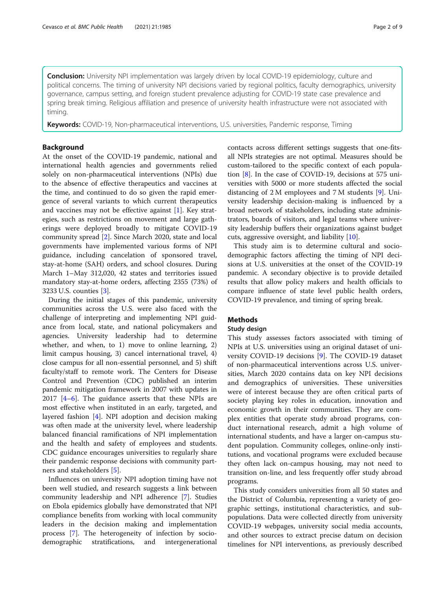**Conclusion:** University NPI implementation was largely driven by local COVID-19 epidemiology, culture and political concerns. The timing of university NPI decisions varied by regional politics, faculty demographics, university governance, campus setting, and foreign student prevalence adjusting for COVID-19 state case prevalence and spring break timing. Religious affiliation and presence of university health infrastructure were not associated with timing.

Keywords: COVID-19, Non-pharmaceutical interventions, U.S. universities, Pandemic response, Timing

## Background

At the onset of the COVID-19 pandemic, national and international health agencies and governments relied solely on non-pharmaceutical interventions (NPIs) due to the absence of effective therapeutics and vaccines at the time, and continued to do so given the rapid emergence of several variants to which current therapeutics and vaccines may not be effective against [[1\]](#page-8-0). Key strategies, such as restrictions on movement and large gatherings were deployed broadly to mitigate COVID-19 community spread [\[2](#page-8-0)]. Since March 2020, state and local governments have implemented various forms of NPI guidance, including cancelation of sponsored travel, stay-at-home (SAH) orders, and school closures. During March 1–May 312,020, 42 states and territories issued mandatory stay-at-home orders, affecting 2355 (73%) of 3233 U.S. counties [[3\]](#page-8-0).

During the initial stages of this pandemic, university communities across the U.S. were also faced with the challenge of interpreting and implementing NPI guidance from local, state, and national policymakers and agencies. University leadership had to determine whether, and when, to 1) move to online learning, 2) limit campus housing, 3) cancel international travel, 4) close campus for all non-essential personnel, and 5) shift faculty/staff to remote work. The Centers for Disease Control and Prevention (CDC) published an interim pandemic mitigation framework in 2007 with updates in 2017 [[4](#page-8-0)–[6](#page-8-0)]. The guidance asserts that these NPIs are most effective when instituted in an early, targeted, and layered fashion [\[4](#page-8-0)]. NPI adoption and decision making was often made at the university level, where leadership balanced financial ramifications of NPI implementation and the health and safety of employees and students. CDC guidance encourages universities to regularly share their pandemic response decisions with community partners and stakeholders [[5\]](#page-8-0).

Influences on university NPI adoption timing have not been well studied, and research suggests a link between community leadership and NPI adherence [[7\]](#page-8-0). Studies on Ebola epidemics globally have demonstrated that NPI compliance benefits from working with local community leaders in the decision making and implementation process [\[7\]](#page-8-0). The heterogeneity of infection by sociodemographic stratifications, and intergenerational contacts across different settings suggests that one-fitsall NPIs strategies are not optimal. Measures should be custom-tailored to the specific context of each population [[8\]](#page-8-0). In the case of COVID-19, decisions at 575 universities with 5000 or more students affected the social distancing of 2 M employees and 7 M students [\[9\]](#page-8-0). University leadership decision-making is influenced by a broad network of stakeholders, including state administrators, boards of visitors, and legal teams where university leadership buffers their organizations against budget cuts, aggressive oversight, and liability [[10](#page-8-0)].

This study aim is to determine cultural and sociodemographic factors affecting the timing of NPI decisions at U.S. universities at the onset of the COVID-19 pandemic. A secondary objective is to provide detailed results that allow policy makers and health officials to compare influence of state level public health orders, COVID-19 prevalence, and timing of spring break.

# **Methods**

#### Study design

This study assesses factors associated with timing of NPIs at U.S. universities using an original dataset of university COVID-19 decisions [[9\]](#page-8-0). The COVID-19 dataset of non-pharmaceutical interventions across U.S. universities, March 2020 contains data on key NPI decisions and demographics of universities. These universities were of interest because they are often critical parts of society playing key roles in education, innovation and economic growth in their communities. They are complex entities that operate study abroad programs, conduct international research, admit a high volume of international students, and have a larger on-campus student population. Community colleges, online-only institutions, and vocational programs were excluded because they often lack on-campus housing, may not need to transition on-line, and less frequently offer study abroad programs.

This study considers universities from all 50 states and the District of Columbia, representing a variety of geographic settings, institutional characteristics, and subpopulations. Data were collected directly from university COVID-19 webpages, university social media accounts, and other sources to extract precise datum on decision timelines for NPI interventions, as previously described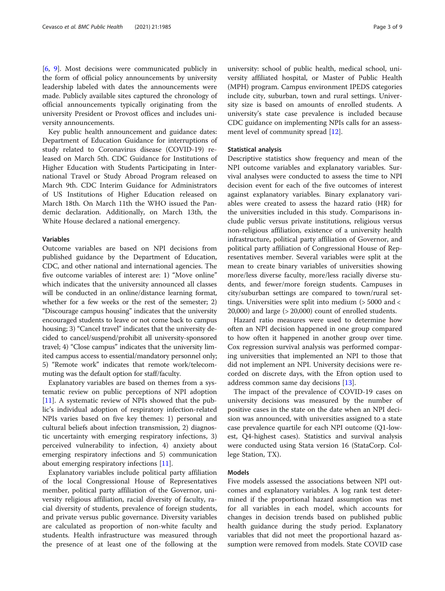[[6,](#page-8-0) [9\]](#page-8-0). Most decisions were communicated publicly in the form of official policy announcements by university leadership labeled with dates the announcements were made. Publicly available sites captured the chronology of official announcements typically originating from the university President or Provost offices and includes university announcements.

Key public health announcement and guidance dates: Department of Education Guidance for interruptions of study related to Coronavirus disease (COVID-19) released on March 5th. CDC Guidance for Institutions of Higher Education with Students Participating in International Travel or Study Abroad Program released on March 9th. CDC Interim Guidance for Administrators of US Institutions of Higher Education released on March 18th. On March 11th the WHO issued the Pandemic declaration. Additionally, on March 13th, the White House declared a national emergency.

### **Variables**

Outcome variables are based on NPI decisions from published guidance by the Department of Education, CDC, and other national and international agencies. The five outcome variables of interest are: 1) "Move online" which indicates that the university announced all classes will be conducted in an online/distance learning format, whether for a few weeks or the rest of the semester; 2) "Discourage campus housing" indicates that the university encouraged students to leave or not come back to campus housing; 3) "Cancel travel" indicates that the university decided to cancel/suspend/prohibit all university-sponsored travel; 4) "Close campus" indicates that the university limited campus access to essential/mandatory personnel only; 5) "Remote work" indicates that remote work/telecommuting was the default option for staff/faculty.

Explanatory variables are based on themes from a systematic review on public perceptions of NPI adoption [[11\]](#page-8-0). A systematic review of NPIs showed that the public's individual adoption of respiratory infection-related NPIs varies based on five key themes: 1) personal and cultural beliefs about infection transmission, 2) diagnostic uncertainty with emerging respiratory infections, 3) perceived vulnerability to infection, 4) anxiety about emerging respiratory infections and 5) communication about emerging respiratory infections [[11](#page-8-0)].

Explanatory variables include political party affiliation of the local Congressional House of Representatives member, political party affiliation of the Governor, university religious affiliation, racial diversity of faculty, racial diversity of students, prevalence of foreign students, and private versus public governance. Diversity variables are calculated as proportion of non-white faculty and students. Health infrastructure was measured through the presence of at least one of the following at the

university: school of public health, medical school, university affiliated hospital, or Master of Public Health (MPH) program. Campus environment IPEDS categories include city, suburban, town and rural settings. University size is based on amounts of enrolled students. A university's state case prevalence is included because CDC guidance on implementing NPIs calls for an assess-ment level of community spread [[12](#page-8-0)].

#### Statistical analysis

Descriptive statistics show frequency and mean of the NPI outcome variables and explanatory variables. Survival analyses were conducted to assess the time to NPI decision event for each of the five outcomes of interest against explanatory variables. Binary explanatory variables were created to assess the hazard ratio (HR) for the universities included in this study. Comparisons include public versus private institutions, religious versus non-religious affiliation, existence of a university health infrastructure, political party affiliation of Governor, and political party affiliation of Congressional House of Representatives member. Several variables were split at the mean to create binary variables of universities showing more/less diverse faculty, more/less racially diverse students, and fewer/more foreign students. Campuses in city/suburban settings are compared to town/rural settings. Universities were split into medium (> 5000 and < 20,000) and large (> 20,000) count of enrolled students.

Hazard ratio measures were used to determine how often an NPI decision happened in one group compared to how often it happened in another group over time. Cox regression survival analysis was performed comparing universities that implemented an NPI to those that did not implement an NPI. University decisions were recorded on discrete days, with the Efron option used to address common same day decisions [\[13](#page-8-0)].

The impact of the prevalence of COVID-19 cases on university decisions was measured by the number of positive cases in the state on the date when an NPI decision was announced, with universities assigned to a state case prevalence quartile for each NPI outcome (Q1-lowest, Q4-highest cases). Statistics and survival analysis were conducted using Stata version 16 (StataCorp. College Station, TX).

# Models

Five models assessed the associations between NPI outcomes and explanatory variables. A log rank test determined if the proportional hazard assumption was met for all variables in each model, which accounts for changes in decision trends based on published public health guidance during the study period. Explanatory variables that did not meet the proportional hazard assumption were removed from models. State COVID case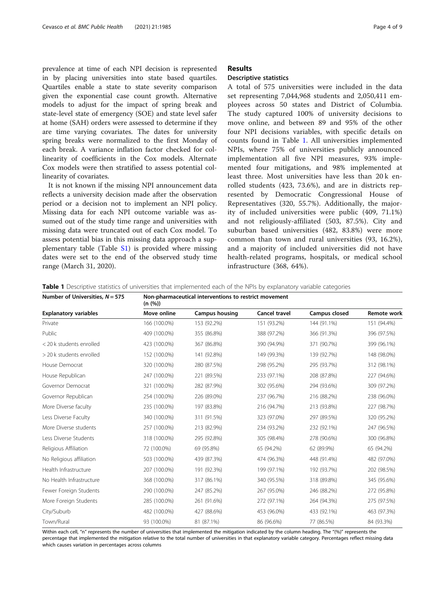prevalence at time of each NPI decision is represented in by placing universities into state based quartiles. Quartiles enable a state to state severity comparison given the exponential case count growth. Alternative models to adjust for the impact of spring break and state-level state of emergency (SOE) and state level safer at home (SAH) orders were assessed to determine if they are time varying covariates. The dates for university spring breaks were normalized to the first Monday of each break. A variance inflation factor checked for collinearity of coefficients in the Cox models. Alternate Cox models were then stratified to assess potential collinearity of covariates.

It is not known if the missing NPI announcement data reflects a university decision made after the observation period or a decision not to implement an NPI policy. Missing data for each NPI outcome variable was assumed out of the study time range and universities with missing data were truncated out of each Cox model. To assess potential bias in this missing data approach a supplementary table (Table [S1\)](#page-7-0) is provided where missing dates were set to the end of the observed study time range (March 31, 2020).

# Results

# Descriptive statistics

A total of 575 universities were included in the data set representing 7,044,968 students and 2,050,411 employees across 50 states and District of Columbia. The study captured 100% of university decisions to move online, and between 89 and 95% of the other four NPI decisions variables, with specific details on counts found in Table 1. All universities implemented NPIs, where 75% of universities publicly announced implementation all five NPI measures, 93% implemented four mitigations, and 98% implemented at least three. Most universities have less than 20 k enrolled students (423, 73.6%), and are in districts represented by Democratic Congressional House of Representatives (320, 55.7%). Additionally, the majority of included universities were public (409, 71.1%) and not religiously-affiliated (503, 87.5%). City and suburban based universities (482, 83.8%) were more common than town and rural universities (93, 16.2%), and a majority of included universities did not have health-related programs, hospitals, or medical school infrastructure (368, 64%).

**Table 1** Descriptive statistics of universities that implemented each of the NPIs by explanatory variable categories

 $N = 1$  =  $500 \div 100$   $M = 575$  Non-pharmaceutical interventions to restrict movement movements to restrict movement

| Number of Universities, $N = 3/5$ | Non-pharmaceutical interventions to restrict movement<br>(n (%)) |                |                      |               |                    |  |  |
|-----------------------------------|------------------------------------------------------------------|----------------|----------------------|---------------|--------------------|--|--|
| <b>Explanatory variables</b>      | Move online                                                      | Campus housing | <b>Cancel travel</b> | Campus closed | <b>Remote work</b> |  |  |
| Private                           | 166 (100.0%)                                                     | 153 (92.2%)    | 151 (93.2%)          | 144 (91.1%)   | 151 (94.4%)        |  |  |
| Public                            | 409 (100.0%)                                                     | 355 (86.8%)    | 388 (97.2%)          | 366 (91.3%)   | 396 (97.5%)        |  |  |
| < 20 k students enrolled          | 423 (100.0%)                                                     | 367 (86.8%)    | 390 (94.9%)          | 371 (90.7%)   | 399 (96.1%)        |  |  |
| > 20 k students enrolled          | 152 (100.0%)                                                     | 141 (92.8%)    | 149 (99.3%)          | 139 (92.7%)   | 148 (98.0%)        |  |  |
| House Democrat                    | 320 (100.0%)                                                     | 280 (87.5%)    | 298 (95.2%)          | 295 (93.7%)   | 312 (98.1%)        |  |  |
| House Republican                  | 247 (100.0%)                                                     | 221 (89.5%)    | 233 (97.1%)          | 208 (87.8%)   | 227 (94.6%)        |  |  |
| Governor Democrat                 | 321 (100.0%)                                                     | 282 (87.9%)    | 302 (95.6%)          | 294 (93.6%)   | 309 (97.2%)        |  |  |
| Governor Republican               | 254 (100.0%)                                                     | 226 (89.0%)    | 237 (96.7%)          | 216 (88.2%)   | 238 (96.0%)        |  |  |
| More Diverse faculty              | 235 (100.0%)                                                     | 197 (83.8%)    | 216 (94.7%)          | 213 (93.8%)   | 227 (98.7%)        |  |  |
| Less Diverse Faculty              | 340 (100.0%)                                                     | 311 (91.5%)    | 323 (97.0%)          | 297 (89.5%)   | 320 (95.2%)        |  |  |
| More Diverse students             | 257 (100.0%)                                                     | 213 (82.9%)    | 234 (93.2%)          | 232 (92.1%)   | 247 (96.5%)        |  |  |
| Less Diverse Students             | 318 (100.0%)                                                     | 295 (92.8%)    | 305 (98.4%)          | 278 (90.6%)   | 300 (96.8%)        |  |  |
| Religious Affiliation             | 72 (100.0%)                                                      | 69 (95.8%)     | 65 (94.2%)           | 62 (89.9%)    | 65 (94.2%)         |  |  |
| No Religious affiliation          | 503 (100.0%)                                                     | 439 (87.3%)    | 474 (96.3%)          | 448 (91.4%)   | 482 (97.0%)        |  |  |
| Health Infrastructure             | 207 (100.0%)                                                     | 191 (92.3%)    | 199 (97.1%)          | 192 (93.7%)   | 202 (98.5%)        |  |  |
| No Health Infrastructure          | 368 (100.0%)                                                     | 317 (86.1%)    | 340 (95.5%)          | 318 (89.8%)   | 345 (95.6%)        |  |  |
| Fewer Foreign Students            | 290 (100.0%)                                                     | 247 (85.2%)    | 267 (95.0%)          | 246 (88.2%)   | 272 (95.8%)        |  |  |
| More Foreign Students             | 285 (100.0%)                                                     | 261 (91.6%)    | 272 (97.1%)          | 264 (94.3%)   | 275 (97.5%)        |  |  |
| City/Suburb                       | 482 (100.0%)                                                     | 427 (88.6%)    | 453 (96.0%)          | 433 (92.1%)   | 463 (97.3%)        |  |  |
| Town/Rural                        | 93 (100.0%)                                                      | 81 (87.1%)     | 86 (96.6%)           | 77 (86.5%)    | 84 (93.3%)         |  |  |

Within each cell, "n" represents the number of universities that implemented the mitigation indicated by the column heading. The "(%)" represents the percentage that implemented the mitigation relative to the total number of universities in that explanatory variable category. Percentages reflect missing data which causes variation in percentages across columns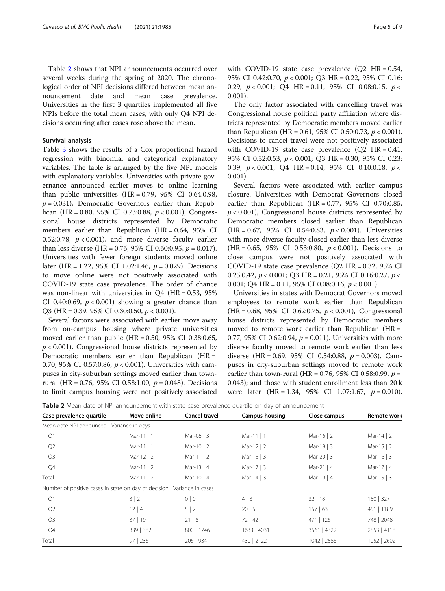Table 2 shows that NPI announcements occurred over several weeks during the spring of 2020. The chronological order of NPI decisions differed between mean announcement date and mean case prevalence. Universities in the first 3 quartiles implemented all five NPIs before the total mean cases, with only Q4 NPI decisions occurring after cases rose above the mean.

# Survival analysis

Table [3](#page-5-0) shows the results of a Cox proportional hazard regression with binomial and categorical explanatory variables. The table is arranged by the five NPI models with explanatory variables. Universities with private governance announced earlier moves to online learning than public universities  $(HR = 0.79, 95\% \text{ CI } 0.64:0.98,$  $p = 0.031$ ), Democratic Governors earlier than Republican (HR = 0.80, 95% CI 0.73:0.88,  $p < 0.001$ ), Congressional house districts represented by Democratic members earlier than Republican  $(HR = 0.64, 95\% \text{ CI})$ 0.52:0.78,  $p < 0.001$ ), and more diverse faculty earlier than less diverse (HR = 0.76, 95% CI 0.60:0.95,  $p = 0.017$ ). Universities with fewer foreign students moved online later (HR = 1.22, 95% CI 1.02:1.46,  $p = 0.029$ ). Decisions to move online were not positively associated with COVID-19 state case prevalence. The order of chance was non-linear with universities in  $Q4$  (HR = 0.53, 95%) CI 0.40:0.69,  $p < 0.001$ ) showing a greater chance than  $Q3$  (HR = 0.39, 95% CI 0.30:0.50,  $p < 0.001$ ).

Several factors were associated with earlier move away from on-campus housing where private universities moved earlier than public (HR =  $0.50$ ,  $95\%$  CI  $0.38:0.65$ ,  $p < 0.001$ ), Congressional house districts represented by Democratic members earlier than Republican (HR = 0.70, 95% CI 0.57:0.86,  $p < 0.001$ ). Universities with campuses in city-suburban settings moved earlier than townrural (HR = 0.76, 95% CI 0.58:1.00,  $p = 0.048$ ). Decisions to limit campus housing were not positively associated with COVID-19 state case prevalence  $(Q2$  HR = 0.54, 95% CI 0.42:0.70, p < 0.001; Q3 HR = 0.22, 95% CI 0.16: 0.29,  $p < 0.001$ ; Q4 HR = 0.11, 95% CI 0.08:0.15,  $p <$ 0.001).

The only factor associated with cancelling travel was Congressional house political party affiliation where districts represented by Democratic members moved earlier than Republican (HR = 0.61, 95% CI 0.50:0.73,  $p < 0.001$ ). Decisions to cancel travel were not positively associated with COVID-19 state case prevalence  $(Q2$  HR = 0.41, 95% CI 0.32:0.53, p < 0.001; Q3 HR = 0.30, 95% CI 0.23: 0.39,  $p < 0.001$ ; Q4 HR = 0.14, 95% CI 0.10:0.18,  $p <$ 0.001).

Several factors were associated with earlier campus closure. Universities with Democrat Governors closed earlier than Republican (HR = 0.77, 95% CI 0.70:0.85,  $p < 0.001$ ), Congressional house districts represented by Democratic members closed earlier than Republican  $(HR = 0.67, 95\% \text{ CI } 0.54:0.83, p < 0.001$ . Universities with more diverse faculty closed earlier than less diverse (HR = 0.65, 95% CI 0.53:0.80,  $p < 0.001$ ). Decisions to close campus were not positively associated with COVID-19 state case prevalence  $(Q2$  HR = 0.32, 95% CI 0.25:0.42,  $p < 0.001$ ; Q3 HR = 0.21, 95% CI 0.16:0.27,  $p <$ 0.001; Q4 HR = 0.11, 95% CI 0.08:0.16,  $p < 0.001$ ).

Universities in states with Democrat Governors moved employees to remote work earlier than Republican  $(HR = 0.68, 95\% \text{ CI } 0.62:0.75, p < 0.001$ , Congressional house districts represented by Democratic members moved to remote work earlier than Republican (HR = 0.77, 95% CI 0.62:0.94,  $p = 0.011$ ). Universities with more diverse faculty moved to remote work earlier than less diverse (HR = 0.69, 95% CI 0.54:0.88,  $p = 0.003$ ). Campuses in city-suburban settings moved to remote work earlier than town-rural (HR = 0.76, 95% CI 0.58:0.99,  $p =$ 0.043); and those with student enrollment less than 20 k were later  $(HR = 1.34, 95\% \text{ CI } 1.07:1.67, p = 0.010).$ 

|  |  |  |  | Table 2 Mean date of NPI announcement with state case prevalence quartile on day of announcement |
|--|--|--|--|--------------------------------------------------------------------------------------------------|
|  |  |  |  |                                                                                                  |

| Case prevalence quartile                                                 | Move online      | Cancel travel | <b>Campus housing</b> | Close campus | <b>Remote work</b> |
|--------------------------------------------------------------------------|------------------|---------------|-----------------------|--------------|--------------------|
| Mean date NPI announced   Variance in days                               |                  |               |                       |              |                    |
| Q1                                                                       | Mar-11 $\vert$ 1 | Mar-06   3    | Mar-11   $1$          | Mar-16   2   | Mar-14 $\vert$ 2   |
| Q <sub>2</sub>                                                           | Mar-11   1       | Mar-10   2    | Mar-12   2            | Mar-19   3   | Mar-15 $\vert$ 2   |
| Q3                                                                       | Mar-12   2       | Mar-11   2    | Mar-15   3            | Mar-20   3   | Mar-16   3         |
| Q4                                                                       | Mar-11 $\vert$ 2 | Mar-13   $4$  | Mar-17   3            | Mar-21   $4$ | Mar-17   4         |
| Total                                                                    | Mar-11 $\vert$ 2 | Mar-10   4    | Mar-14   3            | Mar-19   4   | Mar-15 $\vert$ 3   |
| Number of positive cases in state on day of decision   Variance in cases |                  |               |                       |              |                    |
| Q1                                                                       | 3 2              | 0 0           | $4 \mid 3$            | 32 18        | 150   327          |
| Q <sub>2</sub>                                                           | $12 \mid 4$      | 5 2           | 20 5                  | 157   63     | 451   1189         |
| Q3                                                                       | 37 19            | 21   8        | 72   42               | 471   126    | 748   2048         |
| Q4                                                                       | 339   382        | 800   1746    | 1633   4031           | 3561   4322  | 2853   4118        |
| Total                                                                    | 97   236         | 206   934     | 430   2122            | 1042   2586  | 1052   2602        |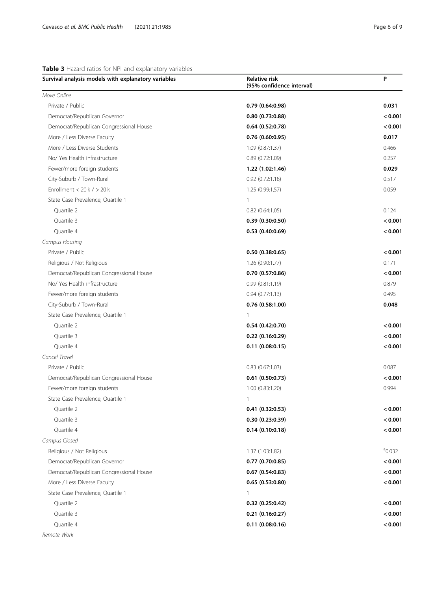#### <span id="page-5-0"></span>Table 3 Hazard ratios for NPI and explanatory variables

| Survival analysis models with explanatory variables | <b>Relative risk</b><br>(95% confidence interval) | P               |
|-----------------------------------------------------|---------------------------------------------------|-----------------|
| Move Online                                         |                                                   |                 |
| Private / Public                                    | 0.79(0.64:0.98)                                   | 0.031           |
| Democrat/Republican Governor                        | 0.80 (0.73:0.88)                                  | < 0.001         |
| Democrat/Republican Congressional House             | 0.64(0.52:0.78)                                   | < 0.001         |
| More / Less Diverse Faculty                         | 0.76(0.60:0.95)                                   | 0.017           |
| More / Less Diverse Students                        | 1.09 (0.87:1.37)                                  | 0.466           |
| No/ Yes Health infrastructure                       | 0.89(0.72:1.09)                                   | 0.257           |
| Fewer/more foreign students                         | 1.22 (1.02:1.46)                                  | 0.029           |
| City-Suburb / Town-Rural                            | 0.92 (0.72:1.18)                                  | 0.517           |
| Enrollment < $20 k / > 20 k$                        | 1.25 (0.99:1.57)                                  | 0.059           |
| State Case Prevalence, Quartile 1                   | $\mathbf{1}$                                      |                 |
| Quartile 2                                          | $0.82$ $(0.64:1.05)$                              | 0.124           |
| Quartile 3                                          | 0.39(0.30:0.50)                                   | < 0.001         |
| Quartile 4                                          | 0.53(0.40:0.69)                                   | < 0.001         |
| Campus Housing                                      |                                                   |                 |
| Private / Public                                    | 0.50(0.38:0.65)                                   | < 0.001         |
| Religious / Not Religious                           | 1.26 (0.90:1.77)                                  | 0.171           |
| Democrat/Republican Congressional House             | 0.70(0.57:0.86)                                   | < 0.001         |
| No/ Yes Health infrastructure                       | 0.99(0.81:1.19)                                   | 0.879           |
| Fewer/more foreign students                         | 0.94(0.77:1.13)                                   | 0.495           |
| City-Suburb / Town-Rural                            | 0.76(0.58:1.00)                                   | 0.048           |
| State Case Prevalence, Quartile 1                   | $\mathbf{1}$                                      |                 |
| Quartile 2                                          | 0.54(0.42:0.70)                                   | < 0.001         |
| Quartile 3                                          | 0.22(0.16:0.29)                                   | < 0.001         |
| Quartile 4                                          | 0.11(0.08:0.15)                                   | < 0.001         |
| Cancel Travel                                       |                                                   |                 |
| Private / Public                                    | $0.83$ $(0.67:1.03)$                              | 0.087           |
| Democrat/Republican Congressional House             | 0.61(0.50:0.73)                                   | < 0.001         |
| Fewer/more foreign students                         | 1.00 (0.83:1.20)                                  | 0.994           |
| State Case Prevalence, Quartile 1                   | 1                                                 |                 |
| Quartile 2                                          | 0.41(0.32:0.53)                                   | < 0.001         |
| Quartile 3                                          | 0.30(0.23:0.39)                                   | < 0.001         |
| Quartile 4                                          | 0.14(0.10:0.18)                                   | < 0.001         |
| Campus Closed                                       |                                                   |                 |
| Religious / Not Religious                           | 1.37 (1.03:1.82)                                  | $^{\circ}0.032$ |
| Democrat/Republican Governor                        | 0.77(0.70:0.85)                                   | < 0.001         |
| Democrat/Republican Congressional House             | 0.67(0.54:0.83)                                   | < 0.001         |
| More / Less Diverse Faculty                         | 0.65(0.53:0.80)                                   | < 0.001         |
| State Case Prevalence, Quartile 1                   | $\mathbf{1}$                                      |                 |
| Quartile 2                                          | 0.32(0.25:0.42)                                   | < 0.001         |
| Quartile 3                                          | 0.21 (0.16:0.27)                                  | < 0.001         |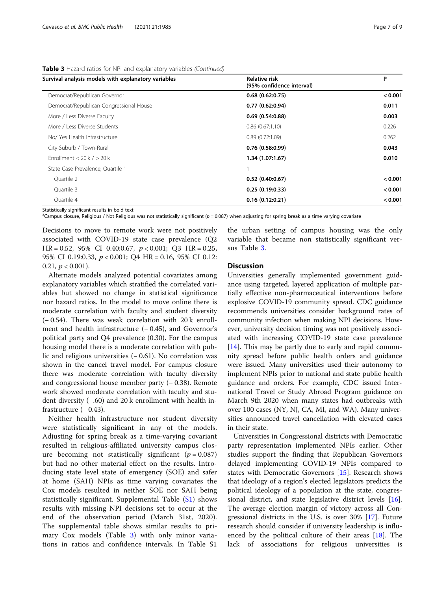| Survival analysis models with explanatory variables | <b>Relative risk</b><br>(95% confidence interval) | P       |  |
|-----------------------------------------------------|---------------------------------------------------|---------|--|
| Democrat/Republican Governor                        | 0.68(0.62:0.75)                                   | < 0.001 |  |
| Democrat/Republican Congressional House             | 0.77(0.62:0.94)                                   | 0.011   |  |
| More / Less Diverse Faculty                         | 0.69(0.54:0.88)                                   | 0.003   |  |
| More / Less Diverse Students                        | 0.86(0.67:1.10)                                   | 0.226   |  |
| No/ Yes Health infrastructure                       | 0.89(0.72:1.09)                                   | 0.262   |  |
| City-Suburb / Town-Rural                            | 0.76(0.58:0.99)                                   | 0.043   |  |
| Enrollment < 20 k / > 20 k                          | 1.34 (1.07:1.67)                                  | 0.010   |  |
| State Case Prevalence, Quartile 1                   |                                                   |         |  |
| Ouartile 2                                          | 0.52(0.40:0.67)                                   | < 0.001 |  |
| Quartile 3                                          | 0.25(0.19:0.33)                                   | < 0.001 |  |
| Quartile 4                                          | 0.16(0.12:0.21)                                   | < 0.001 |  |

Table 3 Hazard ratios for NPI and explanatory variables (Continued)

Statistically significant results in bold text

<sup>a</sup>Campus closure, Religious / Not Religious was not statistically significant (p = 0.087) when adjusting for spring break as a time varying covariate

Decisions to move to remote work were not positively associated with COVID-19 state case prevalence (Q2 HR = 0.52, 95% CI 0.40:0.67, p < 0.001; Q3 HR = 0.25, 95% CI 0.19:0.33, p < 0.001; Q4 HR = 0.16, 95% CI 0.12: 0.21,  $p < 0.001$ ).

Alternate models analyzed potential covariates among explanatory variables which stratified the correlated variables but showed no change in statistical significance nor hazard ratios. In the model to move online there is moderate correlation with faculty and student diversity (− 0.54). There was weak correlation with 20 k enrollment and health infrastructure (− 0.45), and Governor's political party and Q4 prevalence (0.30). For the campus housing model there is a moderate correlation with public and religious universities (− 0.61). No correlation was shown in the cancel travel model. For campus closure there was moderate correlation with faculty diversity and congressional house member party (− 0.38). Remote work showed moderate correlation with faculty and student diversity (−.60) and 20 k enrollment with health infrastructure  $(-0.43)$ .

Neither health infrastructure nor student diversity were statistically significant in any of the models. Adjusting for spring break as a time-varying covariant resulted in religious-affiliated university campus closure becoming not statistically significant ( $p = 0.087$ ) but had no other material effect on the results. Introducing state level state of emergency (SOE) and safer at home (SAH) NPIs as time varying covariates the Cox models resulted in neither SOE nor SAH being statistically significant. Supplemental Table ([S1\)](#page-7-0) shows results with missing NPI decisions set to occur at the end of the observation period (March 31st, 2020). The supplemental table shows similar results to pri-mary Cox models (Table [3](#page-5-0)) with only minor variations in ratios and confidence intervals. In Table S1

the urban setting of campus housing was the only variable that became non statistically significant versus Table [3](#page-5-0).

# **Discussion**

Universities generally implemented government guidance using targeted, layered application of multiple partially effective non-pharmaceutical interventions before explosive COVID-19 community spread. CDC guidance recommends universities consider background rates of community infection when making NPI decisions. However, university decision timing was not positively associated with increasing COVID-19 state case prevalence [[14\]](#page-8-0). This may be partly due to early and rapid community spread before public health orders and guidance were issued. Many universities used their autonomy to implement NPIs prior to national and state public health guidance and orders. For example, CDC issued International Travel or Study Abroad Program guidance on March 9th 2020 when many states had outbreaks with over 100 cases (NY, NJ, CA, MI, and WA). Many universities announced travel cancellation with elevated cases in their state.

Universities in Congressional districts with Democratic party representation implemented NPIs earlier. Other studies support the finding that Republican Governors delayed implementing COVID-19 NPIs compared to states with Democratic Governors [\[15](#page-8-0)]. Research shows that ideology of a region's elected legislators predicts the political ideology of a population at the state, congressional district, and state legislative district levels [\[16](#page-8-0)]. The average election margin of victory across all Congressional districts in the U.S. is over 30% [\[17](#page-8-0)]. Future research should consider if university leadership is influenced by the political culture of their areas  $[18]$  $[18]$ . The lack of associations for religious universities is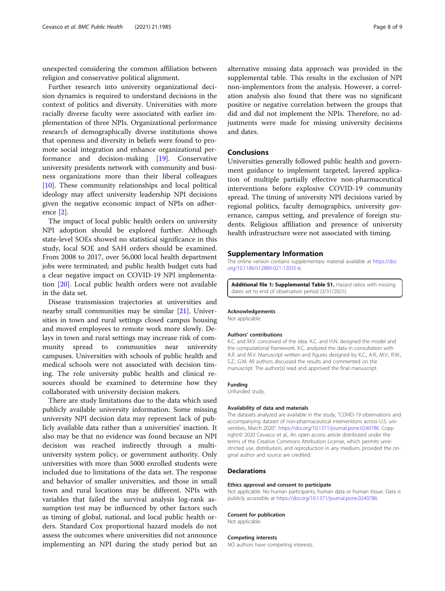<span id="page-7-0"></span>unexpected considering the common affiliation between religion and conservative political alignment.

Further research into university organizational decision dynamics is required to understand decisions in the context of politics and diversity. Universities with more racially diverse faculty were associated with earlier implementation of three NPIs. Organizational performance research of demographically diverse institutions shows that openness and diversity in beliefs were found to promote social integration and enhance organizational performance and decision-making [\[19](#page-8-0)]. Conservative university presidents network with community and business organizations more than their liberal colleagues [[10\]](#page-8-0). These community relationships and local political ideology may affect university leadership NPI decisions given the negative economic impact of NPIs on adherence [\[2](#page-8-0)].

The impact of local public health orders on university NPI adoption should be explored further. Although state-level SOEs showed no statistical significance in this study, local SOE and SAH orders should be examined. From 2008 to 2017, over 56,000 local health department jobs were terminated; and public health budget cuts had a clear negative impact on COVID-19 NPI implementation [\[20](#page-8-0)]. Local public health orders were not available in the data set.

Disease transmission trajectories at universities and nearby small communities may be similar [\[21\]](#page-8-0). Universities in town and rural settings closed campus housing and moved employees to remote work more slowly. Delays in town and rural settings may increase risk of community spread to communities near university campuses. Universities with schools of public health and medical schools were not associated with decision timing. The role university public health and clinical resources should be examined to determine how they collaborated with university decision makers.

There are study limitations due to the data which used publicly available university information. Some missing university NPI decision data may represent lack of publicly available data rather than a universities' inaction. It also may be that no evidence was found because an NPI decision was reached indirectly through a multiuniversity system policy, or government authority. Only universities with more than 5000 enrolled students were included due to limitations of the data set. The response and behavior of smaller universities, and those in small town and rural locations may be different. NPIs with variables that failed the survival analysis log-rank assumption test may be influenced by other factors such as timing of global, national, and local public health orders. Standard Cox proportional hazard models do not assess the outcomes where universities did not announce implementing an NPI during the study period but an

alternative missing data approach was provided in the supplemental table. This results in the exclusion of NPI non-implementors from the analysis. However, a correlation analysis also found that there was no significant positive or negative correlation between the groups that did and did not implement the NPIs. Therefore, no adjustments were made for missing university decisions and dates.

# Conclusions

Universities generally followed public health and government guidance to implement targeted, layered application of multiple partially effective non-pharmaceutical interventions before explosive COVID-19 community spread. The timing of university NPI decisions varied by regional politics, faculty demographics, university governance, campus setting, and prevalence of foreign students. Religious affiliation and presence of university health infrastructure were not associated with timing.

#### Supplementary Information

The online version contains supplementary material available at [https://doi.](https://doi.org/10.1186/s12889-021-12035-6) [org/10.1186/s12889-021-12035-6.](https://doi.org/10.1186/s12889-021-12035-6)

Additional file 1: Supplemental Table S1. Hazard ratios with missing dates set to end of observation period (3/31/2021).

#### Acknowledgements

Not applicable.

#### Authors' contributions

K.C. and M.V. conceived of the idea. K.C. and H.N. designed the model and the computational framework. K.C. analyzed the data in consultation with A.R. and M.V. Manuscript written and figures designed by K.C., A.R., M.V., R.W., S.Z., G.M. All authors discussed the results and commented on the manuscript. The author(s) read and approved the final manuscript.

#### Funding

Unfunded study.

#### Availability of data and materials

The datasets analyzed are available in the study, "COVID-19 observations and accompanying dataset of non-pharmaceutical interventions across U.S. universities, March 2020", [https://doi.org/10.1371/journal.pone.0240786.](https://doi.org/10.1371/journal.pone.0240786) Copyright:© 2020 Cevasco et al., An open access article distributed under the terms of the Creative Commons Attribution License, which permits unrestricted use, distribution, and reproduction in any medium, provided the original author and source are credited.

#### Declarations

#### Ethics approval and consent to participate

Not applicable. No human participants, human data or human tissue. Data is publicly accessible at [https://doi.org/10.1371/journal.pone.0240786.](https://doi.org/10.1371/journal.pone.0240786)

#### Consent for publication

Not applicable.

#### Competing interests

NO authors have competing interests.